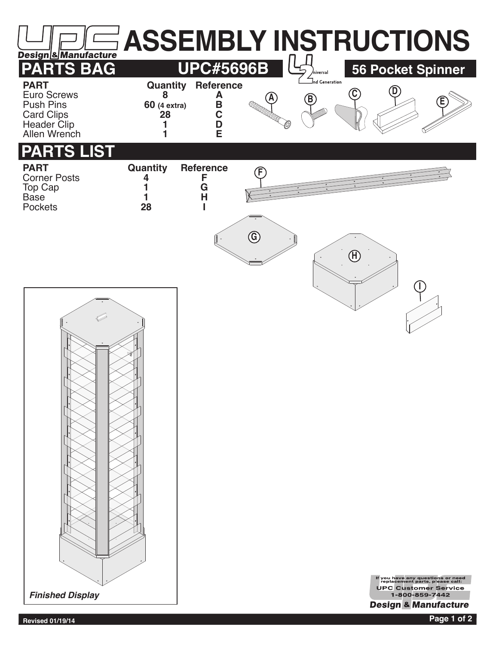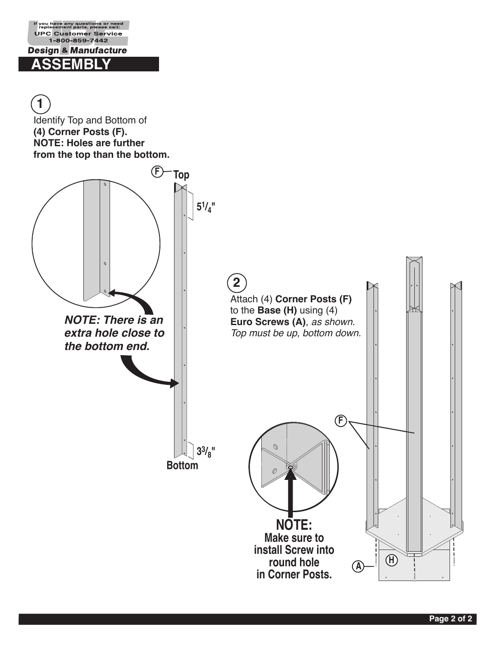**1**

Identify Top and Bottom of **(4) Corner Posts (F). NOTE: Holes are further from the top than the bottom. F Top 51/4"**  $\phi$ **2** Attach (4) **Corner Posts (F)** to the **Base (H)** using (4) *NOTE: There is an* **Euro Screws (A)**, *as shown. extra hole close to Top must be up, bottom down. the bottom end.* **F**  $\mathcal{O}$ **33/8" Bottom**  $\emptyset$ **NOTE: Make sure to install Screw into <sup>H</sup> <sup>A</sup> round hole in Corner Posts.**